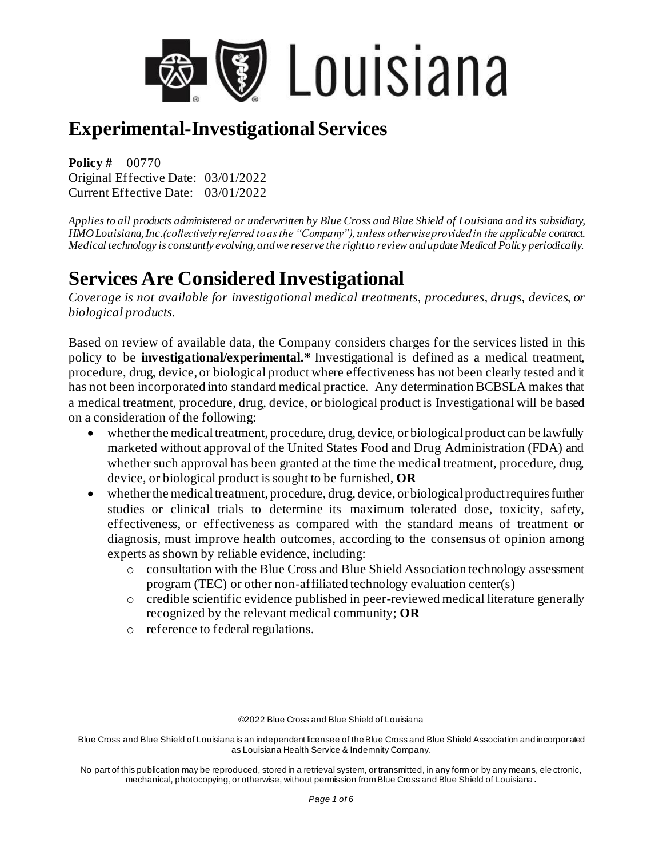

**Policy #** 00770 Original Effective Date: 03/01/2022 Current Effective Date: 03/01/2022

*Applies to all products administered or underwritten by Blue Cross and Blue Shield of Louisiana and its subsidiary, HMO Louisiana, Inc.(collectively referred to as the "Company"), unless otherwise provided in the applicable contract. Medical technology is constantly evolving, and we reserve the right to review and update Medical Policy periodically.* 

## **Services Are Considered Investigational**

*Coverage is not available for investigational medical treatments, procedures, drugs, devices, or biological products.*

Based on review of available data, the Company considers charges for the services listed in this policy to be **investigational/experimental.\*** Investigational is defined as a medical treatment, procedure, drug, device, or biological product where effectiveness has not been clearly tested and it has not been incorporated into standard medical practice. Any determination BCBSLA makes that a medical treatment, procedure, drug, device, or biological product is Investigational will be based on a consideration of the following:

- whether the medical treatment, procedure, drug, device, or biological product can be lawfully marketed without approval of the United States Food and Drug Administration (FDA) and whether such approval has been granted at the time the medical treatment, procedure, drug, device, or biological product is sought to be furnished, **OR**
- whether the medical treatment, procedure, drug, device, or biological product requires further studies or clinical trials to determine its maximum tolerated dose, toxicity, safety, effectiveness, or effectiveness as compared with the standard means of treatment or diagnosis, must improve health outcomes, according to the consensus of opinion among experts as shown by reliable evidence, including:
	- o consultation with the Blue Cross and Blue Shield Association technology assessment program (TEC) or other non-affiliated technology evaluation center(s)
	- o credible scientific evidence published in peer-reviewed medical literature generally recognized by the relevant medical community; **OR**
	- o reference to federal regulations.

©2022 Blue Cross and Blue Shield of Louisiana

Blue Cross and Blue Shield of Louisiana is an independent licensee of the Blue Cross and Blue Shield Association and incorporated as Louisiana Health Service & Indemnity Company.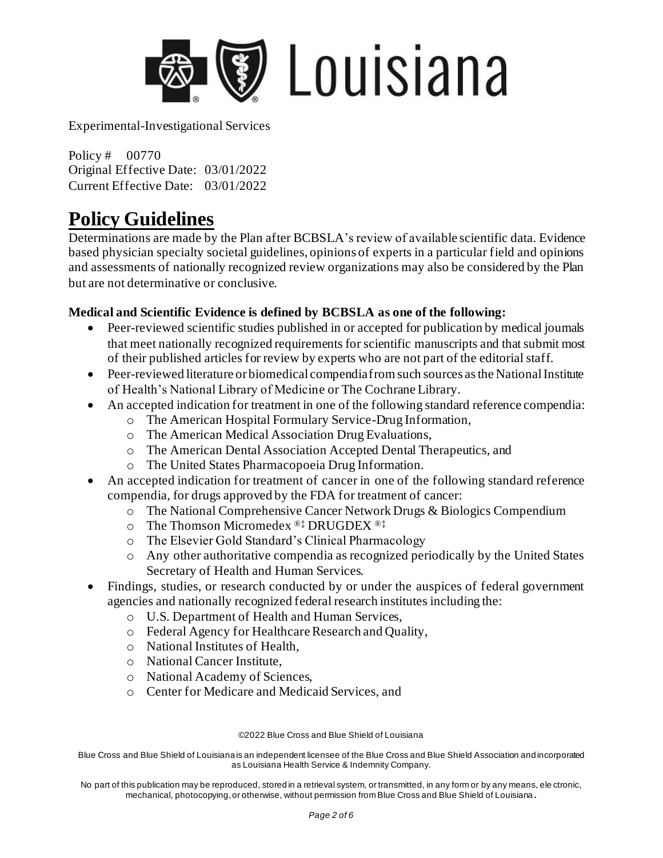

Policy # 00770 Original Effective Date: 03/01/2022 Current Effective Date: 03/01/2022

### **Policy Guidelines**

Determinations are made by the Plan after BCBSLA's review of available scientific data. Evidence based physician specialty societal guidelines, opinions of experts in a particular field and opinions and assessments of nationally recognized review organizations may also be considered by the Plan but are not determinative or conclusive.

#### **Medical and Scientific Evidence is defined by BCBSLA as one of the following:**

- Peer-reviewed scientific studies published in or accepted for publication by medical journals that meet nationally recognized requirements for scientific manuscripts and that submit most of their published articles for review by experts who are not part of the editorial staff.
- Peer-reviewed literature or biomedical compendia from such sources as the National Institute of Health's National Library of Medicine or The Cochrane Library.
- An accepted indication for treatment in one of the following standard reference compendia:
	- o The American Hospital Formulary Service-Drug Information,
	- o The American Medical Association Drug Evaluations,
	- o The American Dental Association Accepted Dental Therapeutics, and
	- o The United States Pharmacopoeia Drug Information.
- An accepted indication for treatment of cancer in one of the following standard reference compendia, for drugs approved by the FDA for treatment of cancer:
	- o The National Comprehensive Cancer Network Drugs & Biologics Compendium
	- o The Thomson Micromedex ®‡ DRUGDEX ®‡
	- o The Elsevier Gold Standard's Clinical Pharmacology
	- o Any other authoritative compendia as recognized periodically by the United States Secretary of Health and Human Services.
- Findings, studies, or research conducted by or under the auspices of federal government agencies and nationally recognized federal research institutes including the:
	- o U.S. Department of Health and Human Services,
	- o Federal Agency for Healthcare Research and Quality,
	- o National Institutes of Health,
	- o National Cancer Institute,
	- o National Academy of Sciences,
	- o Center for Medicare and Medicaid Services, and

©2022 Blue Cross and Blue Shield of Louisiana

Blue Cross and Blue Shield of Louisiana is an independent licensee of the Blue Cross and Blue Shield Association and incorporated as Louisiana Health Service & Indemnity Company.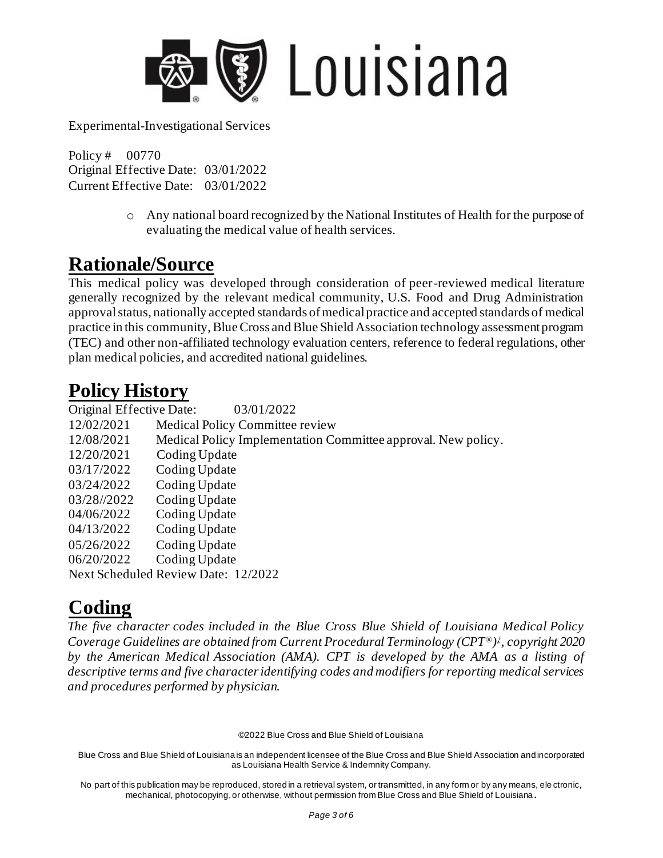

Policy # 00770 Original Effective Date: 03/01/2022 Current Effective Date: 03/01/2022

> o Any national board recognized by the National Institutes of Health for the purpose of evaluating the medical value of health services.

### **Rationale/Source**

This medical policy was developed through consideration of peer-reviewed medical literature generally recognized by the relevant medical community, U.S. Food and Drug Administration approval status, nationally accepted standards of medical practice and accepted standards of medical practice in this community, Blue Cross and Blue Shield Association technology assessment program (TEC) and other non-affiliated technology evaluation centers, reference to federal regulations, other plan medical policies, and accredited national guidelines.

## **Policy History**

Original Effective Date: 03/01/2022 12/02/2021 Medical Policy Committee review 12/08/2021 Medical Policy Implementation Committee approval. New policy. 12/20/2021 Coding Update 03/17/2022 Coding Update 03/24/2022 Coding Update 03/28//2022 Coding Update 04/06/2022 Coding Update 04/13/2022 Coding Update 05/26/2022 Coding Update 06/20/2022 Coding Update Next Scheduled Review Date: 12/2022

# **Coding**

*The five character codes included in the Blue Cross Blue Shield of Louisiana Medical Policy Coverage Guidelines are obtained from Current Procedural Terminology (CPT®) ‡ , copyright 2020 by the American Medical Association (AMA). CPT is developed by the AMA as a listing of descriptive terms and five character identifying codes and modifiers for reporting medical services and procedures performed by physician.*

©2022 Blue Cross and Blue Shield of Louisiana

Blue Cross and Blue Shield of Louisiana is an independent licensee of the Blue Cross and Blue Shield Association and incorporated as Louisiana Health Service & Indemnity Company.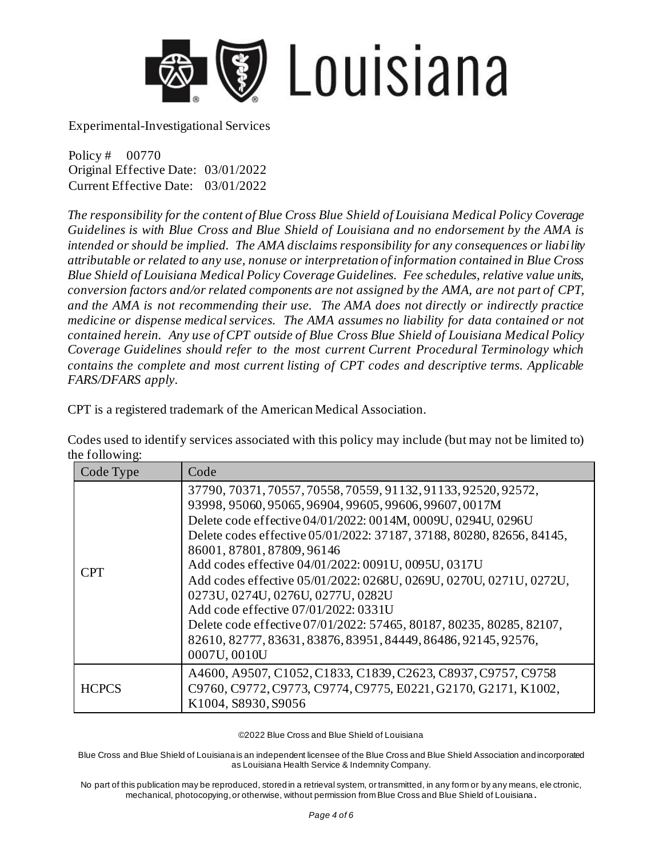

Policy # 00770 Original Effective Date: 03/01/2022 Current Effective Date: 03/01/2022

*The responsibility for the content of Blue Cross Blue Shield of Louisiana Medical Policy Coverage Guidelines is with Blue Cross and Blue Shield of Louisiana and no endorsement by the AMA is intended or should be implied. The AMA disclaims responsibility for any consequences or liability attributable or related to any use, nonuse or interpretation of information contained in Blue Cross Blue Shield of Louisiana Medical Policy Coverage Guidelines. Fee schedules, relative value units, conversion factors and/or related components are not assigned by the AMA, are not part of CPT, and the AMA is not recommending their use. The AMA does not directly or indirectly practice medicine or dispense medical services. The AMA assumes no liability for data contained or not contained herein. Any use of CPT outside of Blue Cross Blue Shield of Louisiana Medical Policy Coverage Guidelines should refer to the most current Current Procedural Terminology which contains the complete and most current listing of CPT codes and descriptive terms. Applicable FARS/DFARS apply.*

CPT is a registered trademark of the American Medical Association.

Codes used to identify services associated with this policy may include (but may not be limited to) the following:

| Code Type    | Code                                                                                                                                                                                                                                                                                                                                                                                                                                                                                                                                                                                                                                                                |
|--------------|---------------------------------------------------------------------------------------------------------------------------------------------------------------------------------------------------------------------------------------------------------------------------------------------------------------------------------------------------------------------------------------------------------------------------------------------------------------------------------------------------------------------------------------------------------------------------------------------------------------------------------------------------------------------|
| <b>CPT</b>   | 37790, 70371, 70557, 70558, 70559, 91132, 91133, 92520, 92572,<br>93998, 95060, 95065, 96904, 99605, 99606, 99607, 0017M<br>Delete code effective 04/01/2022: 0014M, 0009U, 0294U, 0296U<br>Delete codes effective 05/01/2022: 37187, 37188, 80280, 82656, 84145,<br>86001, 87801, 87809, 96146<br>Add codes effective 04/01/2022: 0091U, 0095U, 0317U<br>Add codes effective 05/01/2022: 0268U, 0269U, 0270U, 0271U, 0272U,<br>0273U, 0274U, 0276U, 0277U, 0282U<br>Add code effective 07/01/2022: 0331U<br>Delete code effective 07/01/2022: 57465, 80187, 80235, 80285, 82107,<br>82610, 82777, 83631, 83876, 83951, 84449, 86486, 92145, 92576,<br>0007U, 0010U |
| <b>HCPCS</b> | A4600, A9507, C1052, C1833, C1839, C2623, C8937, C9757, C9758<br>C9760, C9772, C9773, C9774, C9775, E0221, G2170, G2171, K1002,<br>K1004, S8930, S9056                                                                                                                                                                                                                                                                                                                                                                                                                                                                                                              |

©2022 Blue Cross and Blue Shield of Louisiana

Blue Cross and Blue Shield of Louisiana is an independent licensee of the Blue Cross and Blue Shield Association and incorporated as Louisiana Health Service & Indemnity Company.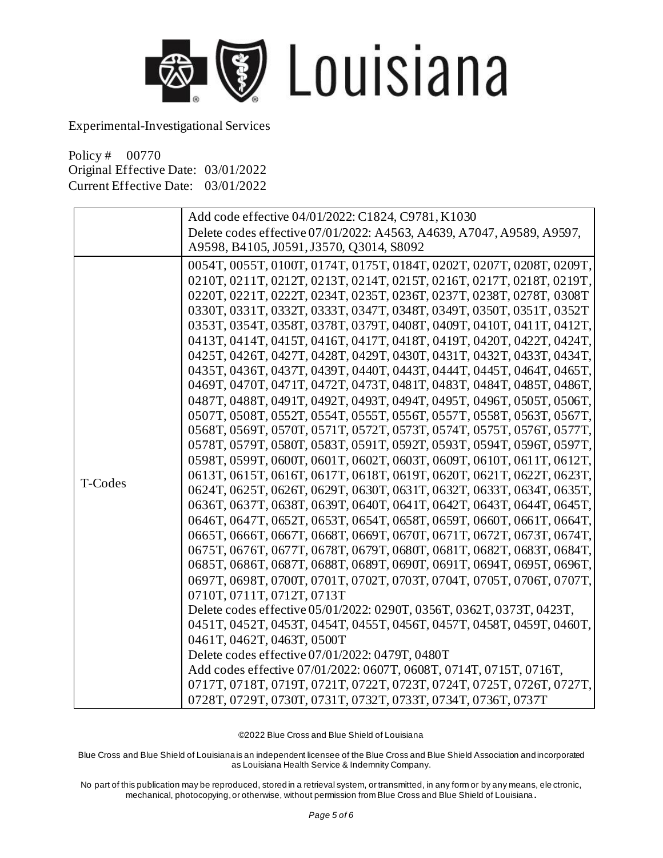

Policy # 00770 Original Effective Date: 03/01/2022 Current Effective Date: 03/01/2022

|         | Add code effective 04/01/2022: C1824, C9781, K1030                    |
|---------|-----------------------------------------------------------------------|
|         | Delete codes effective 07/01/2022: A4563, A4639, A7047, A9589, A9597, |
|         | A9598, B4105, J0591, J3570, Q3014, S8092                              |
|         | 0054T, 0055T, 0100T, 0174T, 0175T, 0184T, 0202T, 0207T, 0208T, 0209T, |
|         | 0210T, 0211T, 0212T, 0213T, 0214T, 0215T, 0216T, 0217T, 0218T, 0219T, |
|         | 0220T, 0221T, 0222T, 0234T, 0235T, 0236T, 0237T, 0238T, 0278T, 0308T  |
|         | 0330T, 0331T, 0332T, 0333T, 0347T, 0348T, 0349T, 0350T, 0351T, 0352T  |
|         | 0353T, 0354T, 0358T, 0378T, 0379T, 0408T, 0409T, 0410T, 0411T, 0412T, |
|         | 0413T, 0414T, 0415T, 0416T, 0417T, 0418T, 0419T, 0420T, 0422T, 0424T, |
|         | 0425T, 0426T, 0427T, 0428T, 0429T, 0430T, 0431T, 0432T, 0433T, 0434T, |
|         | 0435T, 0436T, 0437T, 0439T, 0440T, 0443T, 0444T, 0445T, 0464T, 0465T, |
|         | 0469T, 0470T, 0471T, 0472T, 0473T, 0481T, 0483T, 0484T, 0485T, 0486T, |
|         | 0487T, 0488T, 0491T, 0492T, 0493T, 0494T, 0495T, 0496T, 0505T, 0506T, |
|         | 0507T, 0508T, 0552T, 0554T, 0555T, 0556T, 0557T, 0558T, 0563T, 0567T, |
|         | 0568T, 0569T, 0570T, 0571T, 0572T, 0573T, 0574T, 0575T, 0576T, 0577T, |
|         | 0578T, 0579T, 0580T, 0583T, 0591T, 0592T, 0593T, 0594T, 0596T, 0597T, |
| T-Codes | 0598T, 0599T, 0600T, 0601T, 0602T, 0603T, 0609T, 0610T, 0611T, 0612T, |
|         | 0613T, 0615T, 0616T, 0617T, 0618T, 0619T, 0620T, 0621T, 0622T, 0623T, |
|         | 0624T, 0625T, 0626T, 0629T, 0630T, 0631T, 0632T, 0633T, 0634T, 0635T, |
|         | 0636T, 0637T, 0638T, 0639T, 0640T, 0641T, 0642T, 0643T, 0644T, 0645T, |
|         | 0646T, 0647T, 0652T, 0653T, 0654T, 0658T, 0659T, 0660T, 0661T, 0664T, |
|         | 0665T, 0666T, 0667T, 0668T, 0669T, 0670T, 0671T, 0672T, 0673T, 0674T, |
|         | 0675T, 0676T, 0677T, 0678T, 0679T, 0680T, 0681T, 0682T, 0683T, 0684T, |
|         | 0685T, 0686T, 0687T, 0688T, 0689T, 0690T, 0691T, 0694T, 0695T, 0696T, |
|         | 0697T, 0698T, 0700T, 0701T, 0702T, 0703T, 0704T, 0705T, 0706T, 0707T, |
|         | 0710T, 0711T, 0712T, 0713T                                            |
|         | Delete codes effective 05/01/2022: 0290T, 0356T, 0362T, 0373T, 0423T, |
|         | 0451T, 0452T, 0453T, 0454T, 0455T, 0456T, 0457T, 0458T, 0459T, 0460T, |
|         | 0461T, 0462T, 0463T, 0500T                                            |
|         | Delete codes effective 07/01/2022: 0479T, 0480T                       |
|         | Add codes effective 07/01/2022: 0607T, 0608T, 0714T, 0715T, 0716T,    |
|         | 0717T, 0718T, 0719T, 0721T, 0722T, 0723T, 0724T, 0725T, 0726T, 0727T, |
|         | 0728T, 0729T, 0730T, 0731T, 0732T, 0733T, 0734T, 0736T, 0737T         |

©2022 Blue Cross and Blue Shield of Louisiana

Blue Cross and Blue Shield of Louisiana is an independent licensee of the Blue Cross and Blue Shield Association and incorporated as Louisiana Health Service & Indemnity Company.